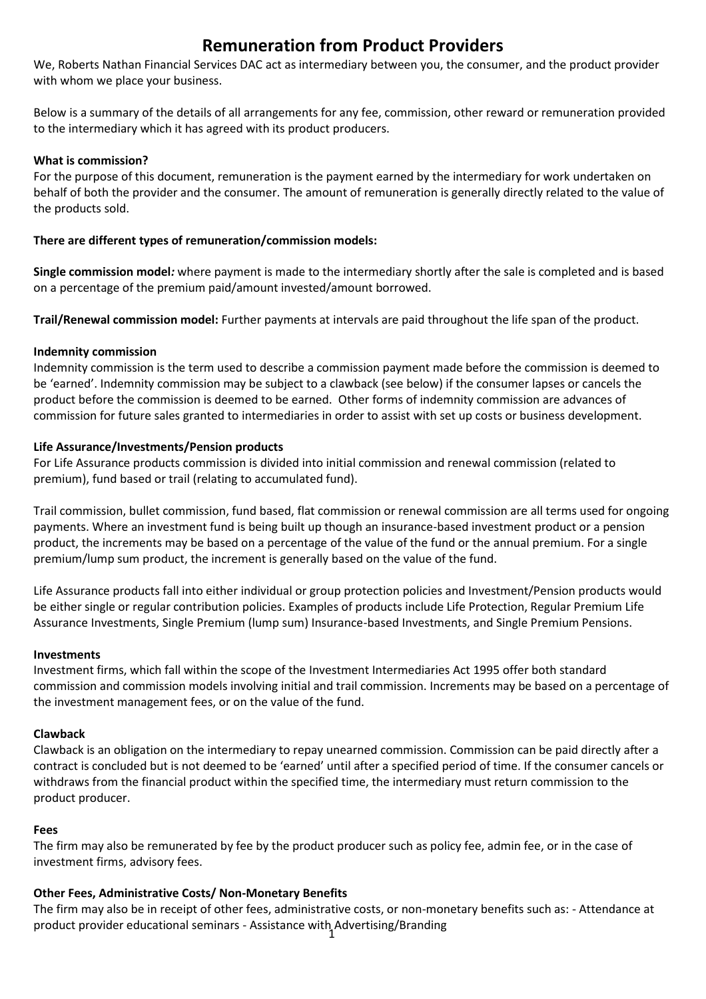# **Remuneration from Product Providers**

We, Roberts Nathan Financial Services DAC act as intermediary between you, the consumer, and the product provider with whom we place your business.

Below is a summary of the details of all arrangements for any fee, commission, other reward or remuneration provided to the intermediary which it has agreed with its product producers.

## **What is commission?**

For the purpose of this document, remuneration is the payment earned by the intermediary for work undertaken on behalf of both the provider and the consumer. The amount of remuneration is generally directly related to the value of the products sold.

## **There are different types of remuneration/commission models:**

**Single commission model***:* where payment is made to the intermediary shortly after the sale is completed and is based on a percentage of the premium paid/amount invested/amount borrowed.

**Trail/Renewal commission model:** Further payments at intervals are paid throughout the life span of the product.

### **Indemnity commission**

Indemnity commission is the term used to describe a commission payment made before the commission is deemed to be 'earned'. Indemnity commission may be subject to a clawback (see below) if the consumer lapses or cancels the product before the commission is deemed to be earned. Other forms of indemnity commission are advances of commission for future sales granted to intermediaries in order to assist with set up costs or business development.

### **Life Assurance/Investments/Pension products**

For Life Assurance products commission is divided into initial commission and renewal commission (related to premium), fund based or trail (relating to accumulated fund).

Trail commission, bullet commission, fund based, flat commission or renewal commission are all terms used for ongoing payments. Where an investment fund is being built up though an insurance-based investment product or a pension product, the increments may be based on a percentage of the value of the fund or the annual premium. For a single premium/lump sum product, the increment is generally based on the value of the fund.

Life Assurance products fall into either individual or group protection policies and Investment/Pension products would be either single or regular contribution policies. Examples of products include Life Protection, Regular Premium Life Assurance Investments, Single Premium (lump sum) Insurance-based Investments, and Single Premium Pensions.

#### **Investments**

Investment firms, which fall within the scope of the Investment Intermediaries Act 1995 offer both standard commission and commission models involving initial and trail commission. Increments may be based on a percentage of the investment management fees, or on the value of the fund.

#### **Clawback**

Clawback is an obligation on the intermediary to repay unearned commission. Commission can be paid directly after a contract is concluded but is not deemed to be 'earned' until after a specified period of time. If the consumer cancels or withdraws from the financial product within the specified time, the intermediary must return commission to the product producer.

#### **Fees**

The firm may also be remunerated by fee by the product producer such as policy fee, admin fee, or in the case of investment firms, advisory fees.

## **Other Fees, Administrative Costs/ Non-Monetary Benefits**

1 product provider educational seminars - Assistance with Advertising/BrandingThe firm may also be in receipt of other fees, administrative costs, or non-monetary benefits such as: - Attendance at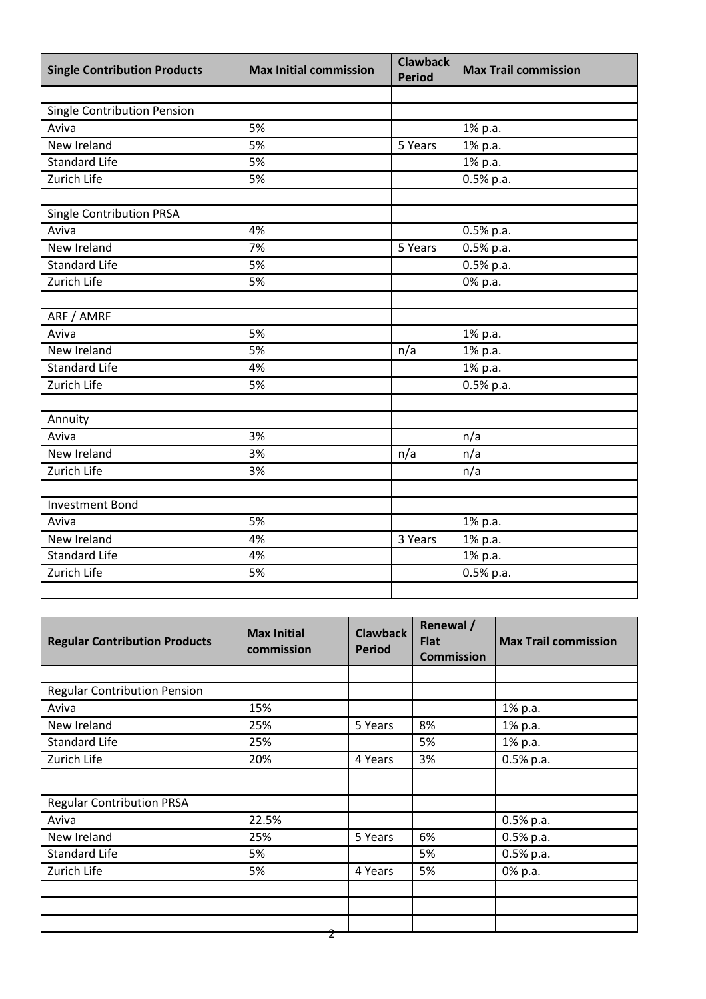| <b>Single Contribution Products</b> | <b>Max Initial commission</b> | <b>Clawback</b><br><b>Period</b> | <b>Max Trail commission</b> |
|-------------------------------------|-------------------------------|----------------------------------|-----------------------------|
|                                     |                               |                                  |                             |
| <b>Single Contribution Pension</b>  |                               |                                  |                             |
| Aviva                               | 5%                            |                                  | 1% p.a.                     |
| New Ireland                         | 5%                            | 5 Years                          | 1% p.a.                     |
| <b>Standard Life</b>                | 5%                            |                                  | 1% p.a.                     |
| Zurich Life                         | 5%                            |                                  | $0.5%$ p.a.                 |
|                                     |                               |                                  |                             |
| Single Contribution PRSA            |                               |                                  |                             |
| Aviva                               | 4%                            |                                  | $0.5%$ p.a.                 |
| New Ireland                         | 7%                            | 5 Years                          | 0.5% p.a.                   |
| <b>Standard Life</b>                | 5%                            |                                  | $0.5%$ p.a.                 |
| <b>Zurich Life</b>                  | 5%                            |                                  | 0% p.a.                     |
|                                     |                               |                                  |                             |
| ARF / AMRF                          |                               |                                  |                             |
| Aviva                               | 5%                            |                                  | 1% p.a.                     |
| New Ireland                         | 5%                            | $\overline{n/a}$                 | 1% p.a.                     |
| <b>Standard Life</b>                | 4%                            |                                  | 1% p.a.                     |
| Zurich Life                         | 5%                            |                                  | 0.5% p.a.                   |
|                                     |                               |                                  |                             |
| Annuity                             |                               |                                  |                             |
| Aviva                               | 3%                            |                                  | n/a                         |
| New Ireland                         | 3%                            | n/a                              | n/a                         |
| Zurich Life                         | 3%                            |                                  | n/a                         |
|                                     |                               |                                  |                             |
| <b>Investment Bond</b>              |                               |                                  |                             |
| Aviva                               | 5%                            |                                  | 1% p.a.                     |
| New Ireland                         | 4%                            | 3 Years                          | 1% p.a.                     |
| <b>Standard Life</b>                | 4%                            |                                  | 1% p.a.                     |
| Zurich Life                         | 5%                            |                                  | $0.5%$ p.a.                 |
|                                     |                               |                                  |                             |

| <b>Regular Contribution Products</b> | <b>Max Initial</b><br>commission | <b>Clawback</b><br><b>Period</b> | Renewal /<br><b>Flat</b><br><b>Commission</b> | <b>Max Trail commission</b> |
|--------------------------------------|----------------------------------|----------------------------------|-----------------------------------------------|-----------------------------|
|                                      |                                  |                                  |                                               |                             |
| <b>Regular Contribution Pension</b>  |                                  |                                  |                                               |                             |
| Aviva                                | 15%                              |                                  |                                               | 1% p.a.                     |
| New Ireland                          | 25%                              | 5 Years                          | 8%                                            | 1% p.a.                     |
| <b>Standard Life</b>                 | 25%                              |                                  | 5%                                            | 1% p.a.                     |
| Zurich Life                          | 20%                              | 4 Years                          | 3%                                            | $0.5%$ p.a.                 |
|                                      |                                  |                                  |                                               |                             |
| <b>Regular Contribution PRSA</b>     |                                  |                                  |                                               |                             |
| Aviva                                | 22.5%                            |                                  |                                               | $0.5%$ p.a.                 |
| New Ireland                          | 25%                              | 5 Years                          | 6%                                            | 0.5% p.a.                   |
| <b>Standard Life</b>                 | 5%                               |                                  | 5%                                            | $0.5%$ p.a.                 |
| Zurich Life                          | 5%                               | 4 Years                          | 5%                                            | 0% p.a.                     |
|                                      |                                  |                                  |                                               |                             |
|                                      |                                  |                                  |                                               |                             |
|                                      |                                  |                                  |                                               |                             |